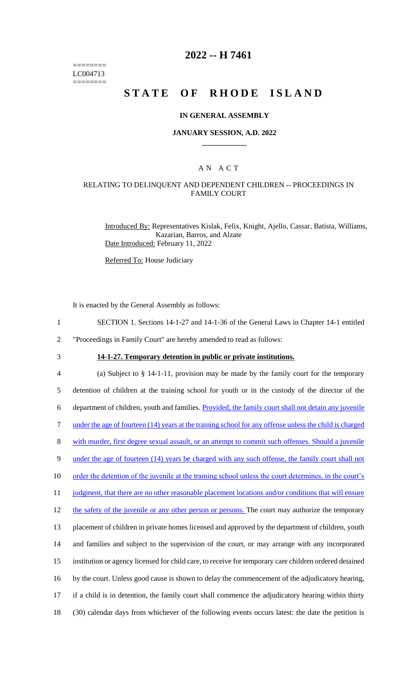======== LC004713 ========

# **2022 -- H 7461**

# **STATE OF RHODE ISLAND**

### **IN GENERAL ASSEMBLY**

### **JANUARY SESSION, A.D. 2022 \_\_\_\_\_\_\_\_\_\_\_\_**

### A N A C T

## RELATING TO DELINQUENT AND DEPENDENT CHILDREN -- PROCEEDINGS IN FAMILY COURT

Introduced By: Representatives Kislak, Felix, Knight, Ajello, Cassar, Batista, Williams, Kazarian, Barros, and Alzate Date Introduced: February 11, 2022

Referred To: House Judiciary

It is enacted by the General Assembly as follows:

- 1 SECTION 1. Sections 14-1-27 and 14-1-36 of the General Laws in Chapter 14-1 entitled
- 2 "Proceedings in Family Court" are hereby amended to read as follows:
- 

3 **14-1-27. Temporary detention in public or private institutions.**

 (a) Subject to § 14-1-11, provision may be made by the family court for the temporary detention of children at the training school for youth or in the custody of the director of the department of children, youth and families. Provided, the family court shall not detain any juvenile under the age of fourteen (14) years at the training school for any offense unless the child is charged with murder, first degree sexual assault, or an attempt to commit such offenses. Should a juvenile 9 under the age of fourteen (14) years be charged with any such offense, the family court shall not 10 order the detention of the juvenile at the training school unless the court determines, in the court's 11 judgment, that there are no other reasonable placement locations and/or conditions that will ensure 12 the safety of the juvenile or any other person or persons. The court may authorize the temporary placement of children in private homes licensed and approved by the department of children, youth and families and subject to the supervision of the court, or may arrange with any incorporated institution or agency licensed for child care, to receive for temporary care children ordered detained by the court. Unless good cause is shown to delay the commencement of the adjudicatory hearing, if a child is in detention, the family court shall commence the adjudicatory hearing within thirty (30) calendar days from whichever of the following events occurs latest: the date the petition is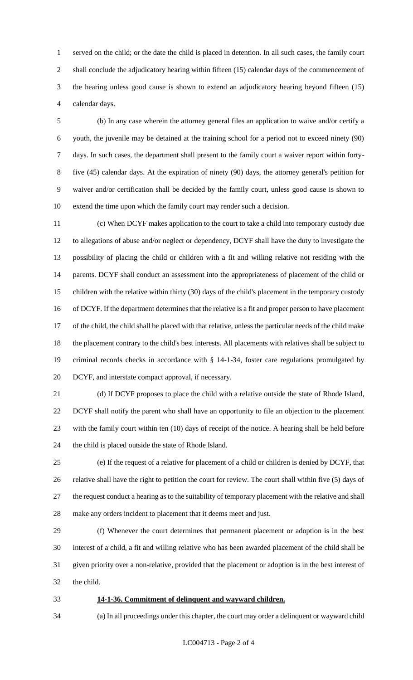served on the child; or the date the child is placed in detention. In all such cases, the family court 2 shall conclude the adjudicatory hearing within fifteen (15) calendar days of the commencement of the hearing unless good cause is shown to extend an adjudicatory hearing beyond fifteen (15) calendar days.

 (b) In any case wherein the attorney general files an application to waive and/or certify a youth, the juvenile may be detained at the training school for a period not to exceed ninety (90) days. In such cases, the department shall present to the family court a waiver report within forty- five (45) calendar days. At the expiration of ninety (90) days, the attorney general's petition for waiver and/or certification shall be decided by the family court, unless good cause is shown to extend the time upon which the family court may render such a decision.

 (c) When DCYF makes application to the court to take a child into temporary custody due to allegations of abuse and/or neglect or dependency, DCYF shall have the duty to investigate the possibility of placing the child or children with a fit and willing relative not residing with the parents. DCYF shall conduct an assessment into the appropriateness of placement of the child or children with the relative within thirty (30) days of the child's placement in the temporary custody of DCYF. If the department determines that the relative is a fit and proper person to have placement of the child, the child shall be placed with that relative, unless the particular needs of the child make the placement contrary to the child's best interests. All placements with relatives shall be subject to criminal records checks in accordance with § 14-1-34, foster care regulations promulgated by DCYF, and interstate compact approval, if necessary.

 (d) If DCYF proposes to place the child with a relative outside the state of Rhode Island, DCYF shall notify the parent who shall have an opportunity to file an objection to the placement with the family court within ten (10) days of receipt of the notice. A hearing shall be held before the child is placed outside the state of Rhode Island.

 (e) If the request of a relative for placement of a child or children is denied by DCYF, that relative shall have the right to petition the court for review. The court shall within five (5) days of the request conduct a hearing as to the suitability of temporary placement with the relative and shall make any orders incident to placement that it deems meet and just.

 (f) Whenever the court determines that permanent placement or adoption is in the best interest of a child, a fit and willing relative who has been awarded placement of the child shall be given priority over a non-relative, provided that the placement or adoption is in the best interest of the child.

### **14-1-36. Commitment of delinquent and wayward children.**

(a) In all proceedings under this chapter, the court may order a delinquent or wayward child

LC004713 - Page 2 of 4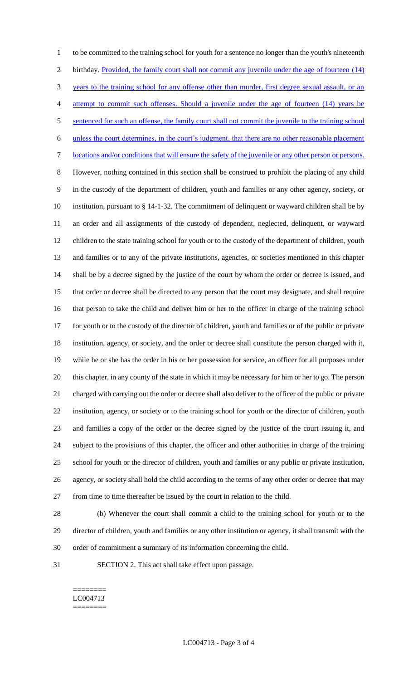to be committed to the training school for youth for a sentence no longer than the youth's nineteenth 2 birthday. Provided, the family court shall not commit any juvenile under the age of fourteen (14) years to the training school for any offense other than murder, first degree sexual assault, or an attempt to commit such offenses. Should a juvenile under the age of fourteen (14) years be sentenced for such an offense, the family court shall not commit the juvenile to the training school unless the court determines, in the court's judgment, that there are no other reasonable placement locations and/or conditions that will ensure the safety of the juvenile or any other person or persons. However, nothing contained in this section shall be construed to prohibit the placing of any child in the custody of the department of children, youth and families or any other agency, society, or institution, pursuant to § 14-1-32. The commitment of delinquent or wayward children shall be by an order and all assignments of the custody of dependent, neglected, delinquent, or wayward children to the state training school for youth or to the custody of the department of children, youth and families or to any of the private institutions, agencies, or societies mentioned in this chapter shall be by a decree signed by the justice of the court by whom the order or decree is issued, and that order or decree shall be directed to any person that the court may designate, and shall require that person to take the child and deliver him or her to the officer in charge of the training school for youth or to the custody of the director of children, youth and families or of the public or private institution, agency, or society, and the order or decree shall constitute the person charged with it, while he or she has the order in his or her possession for service, an officer for all purposes under this chapter, in any county of the state in which it may be necessary for him or her to go. The person charged with carrying out the order or decree shall also deliver to the officer of the public or private institution, agency, or society or to the training school for youth or the director of children, youth and families a copy of the order or the decree signed by the justice of the court issuing it, and subject to the provisions of this chapter, the officer and other authorities in charge of the training school for youth or the director of children, youth and families or any public or private institution, agency, or society shall hold the child according to the terms of any other order or decree that may from time to time thereafter be issued by the court in relation to the child.

 (b) Whenever the court shall commit a child to the training school for youth or to the director of children, youth and families or any other institution or agency, it shall transmit with the order of commitment a summary of its information concerning the child.

SECTION 2. This act shall take effect upon passage.

======== LC004713 ========